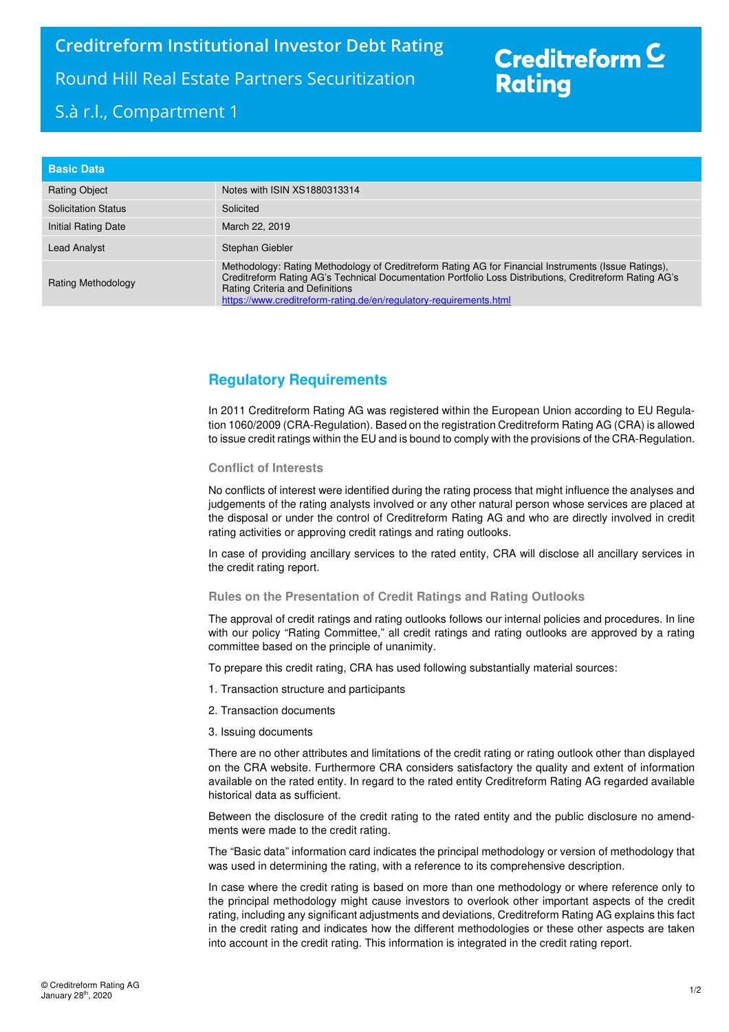# Creditreform<sup>C</sup> **Rating**

| <b>Basic Data</b>          |                                                                                                                                                                                                                                                                                                                          |
|----------------------------|--------------------------------------------------------------------------------------------------------------------------------------------------------------------------------------------------------------------------------------------------------------------------------------------------------------------------|
| <b>Rating Object</b>       | Notes with ISIN XS1880313314                                                                                                                                                                                                                                                                                             |
| <b>Solicitation Status</b> | Solicited                                                                                                                                                                                                                                                                                                                |
| Initial Rating Date        | March 22, 2019                                                                                                                                                                                                                                                                                                           |
| Lead Analyst               | Stephan Giebler                                                                                                                                                                                                                                                                                                          |
| Rating Methodology         | Methodology: Rating Methodology of Creditreform Rating AG for Financial Instruments (Issue Ratings),<br>Creditreform Rating AG's Technical Documentation Portfolio Loss Distributions, Creditreform Rating AG's<br>Rating Criteria and Definitions<br>https://www.creditreform-rating.de/en/regulatory-requirements.html |

### **Regulatory Requirements**

In 2011 Creditreform Rating AG was registered within the European Union according to EU Regulation 1060/2009 (CRA-Regulation). Based on the registration Creditreform Rating AG (CRA) is allowed to issue credit ratings within the EU and is bound to comply with the provisions of the CRA-Regulation.

### **Conflict of Interests**

No conflicts of interest were identified during the rating process that might influence the analyses and judgements of the rating analysts involved or any other natural person whose services are placed at the disposal or under the control of Creditreform Rating AG and who are directly involved in credit rating activities or approving credit ratings and rating outlooks.

In case of providing ancillary services to the rated entity, CRA will disclose all ancillary services in the credit rating report.

#### **Rules on the Presentation of Credit Ratings and Rating Outlooks**

The approval of credit ratings and rating outlooks follows our internal policies and procedures. In line with our policy "Rating Committee," all credit ratings and rating outlooks are approved by a rating committee based on the principle of unanimity.

To prepare this credit rating, CRA has used following substantially material sources:

- 1. Transaction structure and participants
- 2. Transaction documents
- 3. Issuing documents

There are no other attributes and limitations of the credit rating or rating outlook other than displayed on the CRA website. Furthermore CRA considers satisfactory the quality and extent of information available on the rated entity. In regard to the rated entity Creditreform Rating AG regarded available historical data as sufficient.

Between the disclosure of the credit rating to the rated entity and the public disclosure no amendments were made to the credit rating.

The "Basic data" information card indicates the principal methodology or version of methodology that was used in determining the rating, with a reference to its comprehensive description.

In case where the credit rating is based on more than one methodology or where reference only to the principal methodology might cause investors to overlook other important aspects of the credit rating, including any significant adjustments and deviations, Creditreform Rating AG explains this fact in the credit rating and indicates how the different methodologies or these other aspects are taken into account in the credit rating. This information is integrated in the credit rating report.